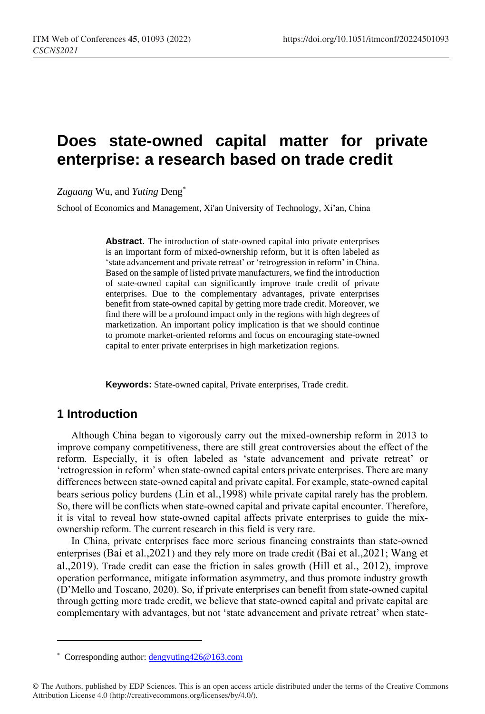# **Does state-owned capital matter for private enterprise: a research based on trade credit**

*Zuguang* Wu, and *Yuting* Deng\*

School of Economics and Management, Xi'an University of Technology, Xi'an, China

**Abstract.** The introduction of state-owned capital into private enterprises is an important form of mixed-ownership reform, but it is often labeled as 'state advancement and private retreat' or 'retrogression in reform' in China. Based on the sample of listed private manufacturers, we find the introduction of state-owned capital can significantly improve trade credit of private enterprises. Due to the complementary advantages, private enterprises benefit from state-owned capital by getting more trade credit. Moreover, we find there will be a profound impact only in the regions with high degrees of marketization. An important policy implication is that we should continue to promote market-oriented reforms and focus on encouraging state-owned capital to enter private enterprises in high marketization regions.

**Keywords:** State-owned capital, Private enterprises, Trade credit.

#### **1 Introduction**

 $\overline{a}$ 

Although China began to vigorously carry out the mixed-ownership reform in 2013 to improve company competitiveness, there are still great controversies about the effect of the reform. Especially, it is often labeled as 'state advancement and private retreat' or 'retrogression in reform' when state-owned capital enters private enterprises. There are many differences between state-owned capital and private capital. For example, state-owned capital bears serious policy burdens (Lin et al.,1998) while private capital rarely has the problem. So, there will be conflicts when state-owned capital and private capital encounter. Therefore, it is vital to reveal how state-owned capital affects private enterprises to guide the mixownership reform. The current research in this field is very rare.

In China, private enterprises face more serious financing constraints than state-owned enterprises (Bai et al.,2021) and they rely more on trade credit (Bai et al.,2021; Wang et al.,2019). Trade credit can ease the friction in sales growth (Hill et al., 2012), improve operation performance, mitigate information asymmetry, and thus promote industry growth (D'Mello and Toscano, 2020). So, if private enterprises can benefit from state-owned capital through getting more trade credit, we believe that state-owned capital and private capital are complementary with advantages, but not 'state advancement and private retreat' when state-

<sup>\*</sup> Corresponding author[: dengyuting426@163.com](mailto:dengyuting426@163.com)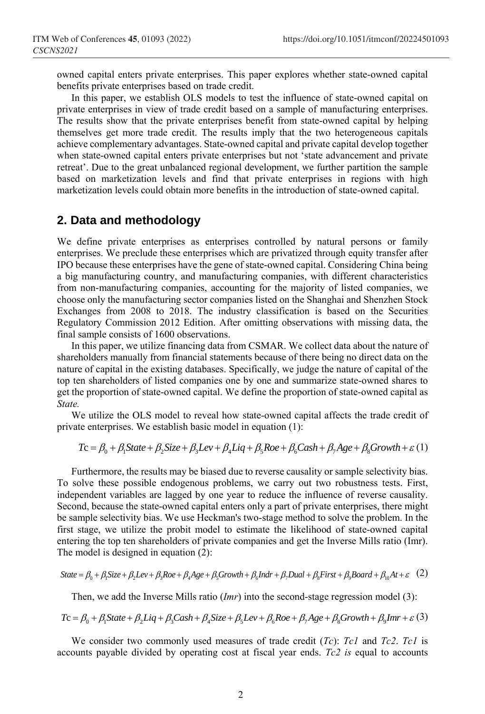owned capital enters private enterprises. This paper explores whether state-owned capital benefits private enterprises based on trade credit.

In this paper, we establish OLS models to test the influence of state-owned capital on private enterprises in view of trade credit based on a sample of manufacturing enterprises. The results show that the private enterprises benefit from state-owned capital by helping themselves get more trade credit. The results imply that the two heterogeneous capitals achieve complementary advantages. State-owned capital and private capital develop together when state-owned capital enters private enterprises but not 'state advancement and private retreat'. Due to the great unbalanced regional development, we further partition the sample based on marketization levels and find that private enterprises in regions with high marketization levels could obtain more benefits in the introduction of state-owned capital.

#### **2. Data and methodology**

We define private enterprises as enterprises controlled by natural persons or family enterprises. We preclude these enterprises which are privatized through equity transfer after IPO because these enterprises have the gene of state-owned capital. Considering China being a big manufacturing country, and manufacturing companies, with different characteristics from non-manufacturing companies, accounting for the majority of listed companies, we choose only the manufacturing sector companies listed on the Shanghai and Shenzhen Stock Exchanges from 2008 to 2018. The industry classification is based on the Securities Regulatory Commission 2012 Edition. After omitting observations with missing data, the final sample consists of 1600 observations.

In this paper, we utilize financing data from CSMAR. We collect data about the nature of shareholders manually from financial statements because of there being no direct data on the nature of capital in the existing databases. Specifically, we judge the nature of capital of the top ten shareholders of listed companies one by one and summarize state-owned shares to get the proportion of state-owned capital. We define the proportion of state-owned capital as *State.*

We utilize the OLS model to reveal how state-owned capital affects the trade credit of vate enterprises. We establish basic model in equation (1):<br>  $Tc = \beta_0 + \beta_1 State + \beta_2 Size + \beta_3 Lev + \beta_4 Lie_1 + \beta_5 Roe + \beta_6 Cash + \beta_7 Age + \beta_8 Growth + \varepsilon$  (1) private enterprises. We establish basic model in equation (1):

$$
T\mathbf{c} = \beta_0 + \beta_1 \text{State} + \beta_2 \text{Size} + \beta_3 \text{Lev} + \beta_4 \text{Liq} + \beta_5 \text{Roe} + \beta_6 \text{Cash} + \beta_7 \text{Age} + \beta_8 \text{Growth} + \varepsilon (1)
$$

Furthermore, the results may be biased due to reverse causality or sample selectivity bias. To solve these possible endogenous problems, we carry out two robustness tests. First, independent variables are lagged by one year to reduce the influence of reverse causality. Second, because the state-owned capital enters only a part of private enterprises, there might be sample selectivity bias. We use Heckman's two-stage method to solve the problem. In the first stage, we utilize the probit model to estimate the likelihood of state-owned capital entering the top ten shareholders of private companies and get the Inverse Mills ratio (Imr). The model is designed in equation (2): irst stage, we utilize the probit model to estimate the likelihood of state-owned capital<br>intering the top ten shareholders of private companies and get the Inverse Mills ratio (Imr).<br>The model is designed in equation (2)

State = 
$$
\beta_0 + \beta_1 \text{Size} + \beta_2 \text{Lev} + \beta_3 \text{Roe} + \beta_4 \text{Age} + \beta_5 \text{Growth} + \beta_6 \text{Indr} + \beta_7 \text{Dual} + \beta_8 \text{First} + \beta_9 \text{Board} + \beta_{10} \text{At} + \varepsilon
$$
 (2)

Then, we add the Inverse Mills ratio (*Imr*) into the second-stage regression model (3):

State = 
$$
\beta_0 + \beta_1 Size + \beta_2 Lev + \beta_3 Roe + \beta_4 Age + \beta_5 Growth + \beta_6 Indr + \beta_7 Dual + \beta_8 First + \beta_9 Board + \beta_{10} At + \varepsilon
$$
 (2)  
Then, we add the Inverse Mills ratio (*Imr*) into the second-stage regression model (3):  

$$
T\mathbf{c} = \beta_0 + \beta_1 State + \beta_2 Lie + \beta_3 Cash + \beta_4 Size + \beta_5 Lev + \beta_6 Roe + \beta_7 Age + \beta_8 Growth + \beta_9 Imr + \varepsilon
$$
(3)

We consider two commonly used measures of trade credit (*Tc*): *Tc1* and *Tc2*. *Tc1* is accounts payable divided by operating cost at fiscal year ends. *Tc2 is* equal to accounts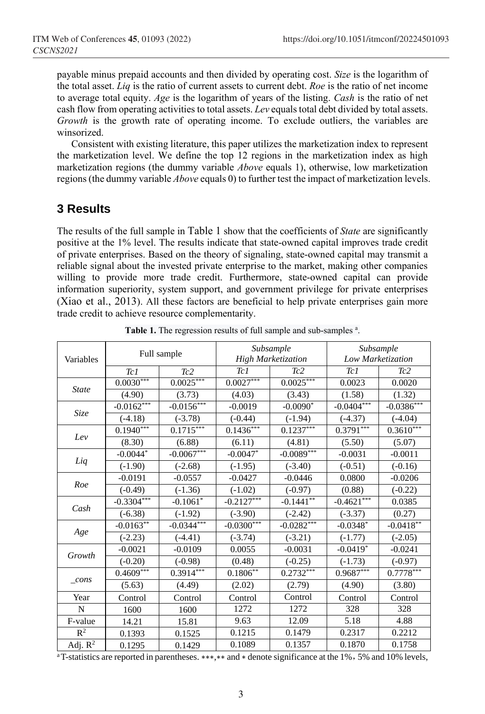payable minus prepaid accounts and then divided by operating cost. *Size* is the logarithm of the total asset. *Liq* is the ratio of current assets to current debt. *Roe* is the ratio of net income to average total equity. *Age* is the logarithm of years of the listing. *Cash* is the ratio of net cash flow from operating activities to total assets. *Lev* equals total debt divided by total assets. *Growth* is the growth rate of operating income. To exclude outliers, the variables are winsorized.

Consistent with existing literature, this paper utilizes the marketization index to represent the marketization level. We define the top 12 regions in the marketization index as high marketization regions (the dummy variable *Above* equals 1), otherwise, low marketization regions (the dummy variable *Above* equals 0) to further test the impact of marketization levels.

### **3 Results**

The results of the full sample in Table 1 show that the coefficients of *State* are significantly positive at the 1% level. The results indicate that state-owned capital improves trade credit of private enterprises. Based on the theory of signaling, state-owned capital may transmit a reliable signal about the invested private enterprise to the market, making other companies willing to provide more trade credit. Furthermore, state-owned capital can provide information superiority, system support, and government privilege for private enterprises (Xiao et al., 2013). All these factors are beneficial to help private enterprises gain more trade credit to achieve resource complementarity.

| Variables      | Full sample               |                          |                           | Subsample<br><b>High Marketization</b> | Subsample<br>Low Marketization                                                                                                                                           |                                                                                                                                                                                                                         |  |
|----------------|---------------------------|--------------------------|---------------------------|----------------------------------------|--------------------------------------------------------------------------------------------------------------------------------------------------------------------------|-------------------------------------------------------------------------------------------------------------------------------------------------------------------------------------------------------------------------|--|
|                | Tc1                       | Tc <sub>2</sub>          | Tc1                       | Tc2                                    | Tc1                                                                                                                                                                      | Tc2                                                                                                                                                                                                                     |  |
|                | $0.0030***$               | $0.0025***$              | $0.0027***$               | $0.0025***$                            | 0.0023                                                                                                                                                                   | 0.0020                                                                                                                                                                                                                  |  |
| <b>State</b>   | (4.90)                    | (3.73)                   | (4.03)                    | (3.43)                                 | (1.58)                                                                                                                                                                   | (1.32)                                                                                                                                                                                                                  |  |
|                | $-0.0162***$              | $-0.0156***$             | $-0.0019$                 | $-0.0090*$                             |                                                                                                                                                                          |                                                                                                                                                                                                                         |  |
| Size           | $(-4.18)$                 | $(-3.78)$                | $(-0.44)$                 | $(-1.94)$                              | $(-4.37)$                                                                                                                                                                | $(-4.04)$                                                                                                                                                                                                               |  |
| Iev            | $0.19\overline{40^{***}}$ | $0.1715***$              | $0.14\overline{36}^{***}$ | $0.1237***$                            |                                                                                                                                                                          |                                                                                                                                                                                                                         |  |
|                | (8.30)                    | (6.88)                   | (6.11)                    | (4.81)                                 | (5.50)                                                                                                                                                                   | $-0.0386***$<br>$0.3610***$<br>(5.07)<br>$-0.0011$<br>$(-0.16)$<br>$-0.0206$<br>$(-0.22)$<br>0.0385<br>(0.27)<br>$-0.0418$ **<br>$(-2.05)$<br>$-0.0241$<br>$(-0.97)$<br>$0.7778***$<br>(3.80)<br>Control<br>328<br>4.88 |  |
| Liq            | $-0.0044*$                | $-0.0067***$             | $-0.0047*$                | $-0.0089***$                           | $-0.0031$                                                                                                                                                                |                                                                                                                                                                                                                         |  |
|                | $(-1.90)$                 | $(-2.68)$                | $(-1.95)$                 | $(-3.40)$                              | $(-0.51)$                                                                                                                                                                |                                                                                                                                                                                                                         |  |
| Roe            | $-0.0191$                 | $-0.0557$                | $-0.0427$                 | $-0.0446$                              | 0.0800                                                                                                                                                                   |                                                                                                                                                                                                                         |  |
|                | $(-0.49)$                 | $(-1.36)$                | $(-1.02)$                 | $(-0.97)$                              | (0.88)                                                                                                                                                                   |                                                                                                                                                                                                                         |  |
| Cash           | $-0.3304***$              | $-0.1061*$               | $-0.2127***$              | $-0.1441**$                            |                                                                                                                                                                          |                                                                                                                                                                                                                         |  |
|                | $(-6.38)$                 | $(-1.92)$                | $(-3.90)$                 | $(-2.42)$                              | $(-3.37)$                                                                                                                                                                |                                                                                                                                                                                                                         |  |
|                | $-0.0163***$              | $-0.03\overline{44}$ *** | $-0.0300***$              | $-0.0282***$                           | $-0.0404***$<br>$0.3791***$<br>$-0.4621***$<br>$-0.0348*$<br>$(-1.77)$<br>$-0.0419*$<br>$(-1.73)$<br>$0.9687***$<br>(4.90)<br>Control<br>328<br>5.18<br>0.2317<br>0.1870 |                                                                                                                                                                                                                         |  |
| Age            | $(-2.23)$                 | $(-4.41)$                | $(-3.74)$                 | $(-3.21)$                              |                                                                                                                                                                          |                                                                                                                                                                                                                         |  |
| Growth         | $-0.0021$                 | $-0.0109$                | 0.0055                    | $-0.0031$                              |                                                                                                                                                                          |                                                                                                                                                                                                                         |  |
|                | $(-0.20)$                 | $(-0.98)$                | (0.48)                    | $(-0.25)$                              |                                                                                                                                                                          |                                                                                                                                                                                                                         |  |
|                | $0.4609***$               | $0.39\overline{14***}$   | $0.1806**$                | $0.2732***$                            |                                                                                                                                                                          |                                                                                                                                                                                                                         |  |
| cons           | (5.63)                    | (4.49)                   | (2.02)                    | (2.79)                                 |                                                                                                                                                                          |                                                                                                                                                                                                                         |  |
| Year           | Control                   | Control                  | Control                   | Control                                |                                                                                                                                                                          |                                                                                                                                                                                                                         |  |
| N              | 1600                      | 1600                     | 1272                      | 1272                                   |                                                                                                                                                                          |                                                                                                                                                                                                                         |  |
| F-value        | 14.21                     | 15.81                    | 9.63                      | 12.09                                  |                                                                                                                                                                          |                                                                                                                                                                                                                         |  |
| $\mathbb{R}^2$ | 0.1393                    | 0.1525                   | 0.1215                    | 0.1479                                 |                                                                                                                                                                          | 0.2212                                                                                                                                                                                                                  |  |
| Adj. $R^2$     | 0.1295                    | 0.1429                   | 0.1089                    | 0.1357                                 |                                                                                                                                                                          | 0.1758                                                                                                                                                                                                                  |  |

|  |  |  | Table 1. The regression results of full sample and sub-samples <sup>a</sup> . |  |
|--|--|--|-------------------------------------------------------------------------------|--|
|  |  |  |                                                                               |  |

<sup>a</sup>T-statistics are reported in parentheses. ∗∗∗,∗∗ and ∗ denote significance at the 1%,5% and 10% levels,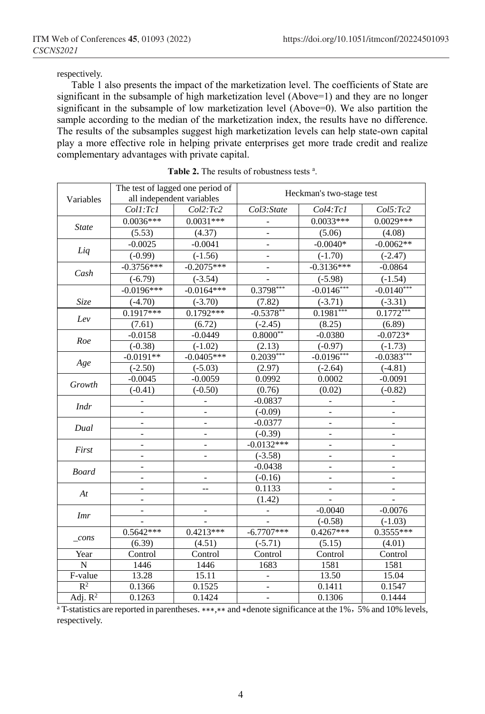respectively.

Table 1 also presents the impact of the marketization level. The coefficients of State are significant in the subsample of high marketization level (Above=1) and they are no longer significant in the subsample of low marketization level (Above=0). We also partition the sample according to the median of the marketization index, the results have no difference. The results of the subsamples suggest high marketization levels can help state-own capital play a more effective role in helping private enterprises get more trade credit and realize complementary advantages with private capital.

|                | The test of lagged one period of<br>Heckman's two-stage test<br>all independent variables<br>Variables<br>Col4:Tc1<br>Coll:Tcl<br>Col2:Tc2<br>Col3:State<br>$0.0036***$<br>$0.0031***$<br>$0.0033***$ |                          |                          |                                                                                                                                                                                                                                                                                                                                                                                        |                        |  |  |
|----------------|-------------------------------------------------------------------------------------------------------------------------------------------------------------------------------------------------------|--------------------------|--------------------------|----------------------------------------------------------------------------------------------------------------------------------------------------------------------------------------------------------------------------------------------------------------------------------------------------------------------------------------------------------------------------------------|------------------------|--|--|
|                |                                                                                                                                                                                                       |                          |                          |                                                                                                                                                                                                                                                                                                                                                                                        |                        |  |  |
|                |                                                                                                                                                                                                       |                          |                          |                                                                                                                                                                                                                                                                                                                                                                                        |                        |  |  |
| <b>State</b>   |                                                                                                                                                                                                       |                          |                          |                                                                                                                                                                                                                                                                                                                                                                                        |                        |  |  |
|                | (5.53)                                                                                                                                                                                                | (4.37)                   |                          |                                                                                                                                                                                                                                                                                                                                                                                        |                        |  |  |
| Liq            | $-0.0025$                                                                                                                                                                                             | $-0.0041$                |                          |                                                                                                                                                                                                                                                                                                                                                                                        | $-0.0062**$            |  |  |
|                | $(-0.99)$                                                                                                                                                                                             | $(-1.56)$                |                          |                                                                                                                                                                                                                                                                                                                                                                                        | $(-2.47)$              |  |  |
| Cash           | $-0.3756***$                                                                                                                                                                                          | $-0.2075***$             |                          |                                                                                                                                                                                                                                                                                                                                                                                        | $-0.0864$              |  |  |
|                | $(-6.79)$                                                                                                                                                                                             | $(-3.54)$                |                          | $(-5.98)$                                                                                                                                                                                                                                                                                                                                                                              | $(-1.54)$              |  |  |
|                | $-0.0196***$                                                                                                                                                                                          | $-0.0164***$             | $0.3798***$              |                                                                                                                                                                                                                                                                                                                                                                                        | $-0.0140***$           |  |  |
| Size           | $(-4.70)$                                                                                                                                                                                             | $(-3.70)$                | (7.82)                   | $(-3.71)$                                                                                                                                                                                                                                                                                                                                                                              | $(-3.31)$              |  |  |
|                | $0.1917***$                                                                                                                                                                                           | $0.1792***$              | $-0.5378**$              |                                                                                                                                                                                                                                                                                                                                                                                        | $0.\overline{1772}***$ |  |  |
| Lev            | (7.61)                                                                                                                                                                                                | (6.72)                   | $(-2.45)$                | (5.06)<br>$-0.0040*$<br>$(-1.70)$<br>$-0.3136***$<br>$-0.0146***$<br>$0.1981***$<br>(8.25)<br>$-0.0380$<br>$(-0.97)$<br>$-0.0196***$<br>$(-2.64)$<br>0.0002<br>(0.02)<br>$\overline{a}$<br>$\overline{\phantom{m}}$<br>$\blacksquare$<br>$\overline{\phantom{a}}$<br>$\overline{\phantom{a}}$<br>$-0.0040$<br>$(-0.58)$<br>$0.4267***$<br>(5.15)<br>Control<br>1581<br>13.50<br>0.1411 | (6.89)                 |  |  |
|                | $-0.0158$                                                                                                                                                                                             | $-0.0449$                | $0.8000**$               |                                                                                                                                                                                                                                                                                                                                                                                        | $-0.0723*$             |  |  |
| Roe            | $(-0.38)$                                                                                                                                                                                             | $(-1.02)$                | (2.13)                   |                                                                                                                                                                                                                                                                                                                                                                                        | $(-1.73)$              |  |  |
|                | $-0.0191**$                                                                                                                                                                                           | $-0.0405***$             | $0.2039***$              |                                                                                                                                                                                                                                                                                                                                                                                        | $-0.0383***$           |  |  |
| Age            | $(-2.50)$                                                                                                                                                                                             | $(-5.03)$                | (2.97)                   |                                                                                                                                                                                                                                                                                                                                                                                        | $(-4.81)$              |  |  |
|                | $-0.0045$                                                                                                                                                                                             | $-0.0059$                | 0.0992                   |                                                                                                                                                                                                                                                                                                                                                                                        | $-0.0091$              |  |  |
| Growth         | $(-0.41)$                                                                                                                                                                                             | $(-0.50)$                | (0.76)                   |                                                                                                                                                                                                                                                                                                                                                                                        | $(-0.82)$              |  |  |
| Indr           |                                                                                                                                                                                                       |                          | $-0.0837$                |                                                                                                                                                                                                                                                                                                                                                                                        |                        |  |  |
|                |                                                                                                                                                                                                       |                          | $(-0.09)$                |                                                                                                                                                                                                                                                                                                                                                                                        |                        |  |  |
| Dual           |                                                                                                                                                                                                       |                          | $-0.0377$                |                                                                                                                                                                                                                                                                                                                                                                                        |                        |  |  |
|                | $\overline{a}$                                                                                                                                                                                        |                          | $(-0.39)$                | $\overline{a}$<br>$\qquad \qquad \Box$<br>$\overline{\phantom{a}}$<br>$\qquad \qquad -$<br>$\qquad \qquad -$                                                                                                                                                                                                                                                                           |                        |  |  |
| First          | $\overline{a}$                                                                                                                                                                                        | $\overline{\phantom{0}}$ | $-0.0132***$             |                                                                                                                                                                                                                                                                                                                                                                                        |                        |  |  |
|                | $\overline{a}$                                                                                                                                                                                        | $\overline{a}$           | $(-3.58)$                |                                                                                                                                                                                                                                                                                                                                                                                        |                        |  |  |
| <b>Board</b>   | $\overline{\phantom{0}}$                                                                                                                                                                              |                          | $-0.0438$                | Col5:Tc2<br>$0.0029***$<br>(4.08)                                                                                                                                                                                                                                                                                                                                                      |                        |  |  |
|                | $\overline{a}$                                                                                                                                                                                        | $\qquad \qquad -$        | $(-0.16)$                |                                                                                                                                                                                                                                                                                                                                                                                        |                        |  |  |
| At             | $\overline{a}$                                                                                                                                                                                        | $-$                      | 0.1133                   |                                                                                                                                                                                                                                                                                                                                                                                        |                        |  |  |
|                | $\overline{a}$                                                                                                                                                                                        |                          | (1.42)                   |                                                                                                                                                                                                                                                                                                                                                                                        |                        |  |  |
| <b>Imr</b>     | -                                                                                                                                                                                                     | $\overline{\phantom{0}}$ | $\overline{\phantom{a}}$ |                                                                                                                                                                                                                                                                                                                                                                                        | $-0.0076$              |  |  |
|                |                                                                                                                                                                                                       |                          |                          |                                                                                                                                                                                                                                                                                                                                                                                        | $(-1.03)$              |  |  |
|                | $0.5642***$                                                                                                                                                                                           | $0.4213***$              | $-6.7707***$             |                                                                                                                                                                                                                                                                                                                                                                                        | $0.3555***$            |  |  |
| cons           | (6.39)                                                                                                                                                                                                | (4.51)                   | $(-5.71)$                |                                                                                                                                                                                                                                                                                                                                                                                        | (4.01)                 |  |  |
| Year           | Control                                                                                                                                                                                               | Control                  | Control                  |                                                                                                                                                                                                                                                                                                                                                                                        | Control                |  |  |
| $\overline{N}$ | 1446                                                                                                                                                                                                  | 1446                     | 1683                     |                                                                                                                                                                                                                                                                                                                                                                                        | 1581                   |  |  |
| F-value        | 13.28                                                                                                                                                                                                 | 15.11                    |                          |                                                                                                                                                                                                                                                                                                                                                                                        | 15.04                  |  |  |
| $R^2$          | 0.1366                                                                                                                                                                                                | 0.1525                   |                          |                                                                                                                                                                                                                                                                                                                                                                                        | 0.1547                 |  |  |
| Adj. $R^2$     | 0.1263                                                                                                                                                                                                | 0.1424                   |                          | 0.1306                                                                                                                                                                                                                                                                                                                                                                                 | 0.1444                 |  |  |

|  |  |  |  | <b>Table 2.</b> The results of robustness tests $a$ . |  |  |
|--|--|--|--|-------------------------------------------------------|--|--|
|--|--|--|--|-------------------------------------------------------|--|--|

<sup>a</sup> T-statistics are reported in parentheses. ∗∗∗,∗∗ and ∗denote significance at the 1%, 5% and 10% levels, respectively.